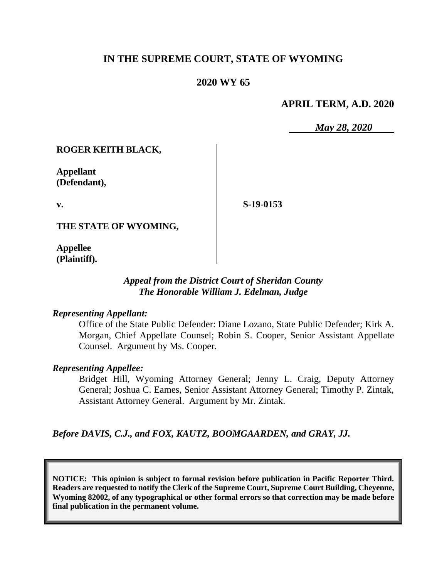# **IN THE SUPREME COURT, STATE OF WYOMING**

# **2020 WY 65**

## **APRIL TERM, A.D. 2020**

*May 28, 2020*

#### **ROGER KEITH BLACK,**

**Appellant (Defendant),**

**v.**

**S-19-0153**

**THE STATE OF WYOMING,**

**Appellee (Plaintiff).**

## *Appeal from the District Court of Sheridan County The Honorable William J. Edelman, Judge*

#### *Representing Appellant:*

Office of the State Public Defender: Diane Lozano, State Public Defender; Kirk A. Morgan, Chief Appellate Counsel; Robin S. Cooper, Senior Assistant Appellate Counsel. Argument by Ms. Cooper.

#### *Representing Appellee:*

Bridget Hill, Wyoming Attorney General; Jenny L. Craig, Deputy Attorney General; Joshua C. Eames, Senior Assistant Attorney General; Timothy P. Zintak, Assistant Attorney General. Argument by Mr. Zintak.

*Before DAVIS, C.J., and FOX, KAUTZ, BOOMGAARDEN, and GRAY, JJ.*

**NOTICE: This opinion is subject to formal revision before publication in Pacific Reporter Third. Readers are requested to notify the Clerk of the Supreme Court, Supreme Court Building, Cheyenne, Wyoming 82002, of any typographical or other formal errors so that correction may be made before final publication in the permanent volume.**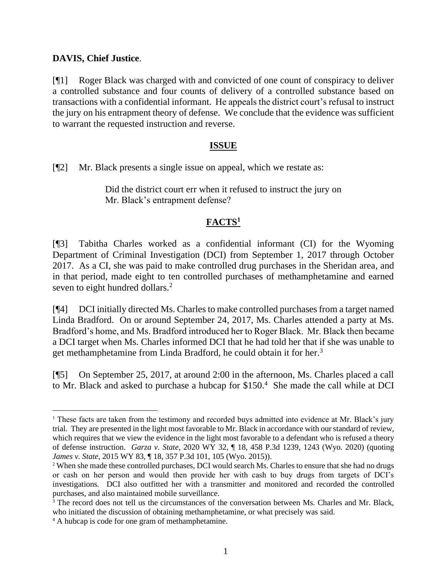#### **DAVIS, Chief Justice**.

[¶1] Roger Black was charged with and convicted of one count of conspiracy to deliver a controlled substance and four counts of delivery of a controlled substance based on transactions with a confidential informant. He appeals the district court's refusal to instruct the jury on his entrapment theory of defense. We conclude that the evidence was sufficient to warrant the requested instruction and reverse.

#### **ISSUE**

[¶2] Mr. Black presents a single issue on appeal, which we restate as:

Did the district court err when it refused to instruct the jury on Mr. Black's entrapment defense?

# **FACTS<sup>1</sup>**

[¶3] Tabitha Charles worked as a confidential informant (CI) for the Wyoming Department of Criminal Investigation (DCI) from September 1, 2017 through October 2017. As a CI, she was paid to make controlled drug purchases in the Sheridan area, and in that period, made eight to ten controlled purchases of methamphetamine and earned seven to eight hundred dollars.<sup>2</sup>

[¶4] DCI initially directed Ms. Charles to make controlled purchases from a target named Linda Bradford. On or around September 24, 2017, Ms. Charles attended a party at Ms. Bradford's home, and Ms. Bradford introduced her to Roger Black. Mr. Black then became a DCI target when Ms. Charles informed DCI that he had told her that if she was unable to get methamphetamine from Linda Bradford, he could obtain it for her.<sup>3</sup>

[¶5] On September 25, 2017, at around 2:00 in the afternoon, Ms. Charles placed a call to Mr. Black and asked to purchase a hubcap for \$150.<sup>4</sup> She made the call while at DCI

<sup>&</sup>lt;sup>1</sup> These facts are taken from the testimony and recorded buys admitted into evidence at Mr. Black's jury trial. They are presented in the light most favorable to Mr. Black in accordance with our standard of review, which requires that we view the evidence in the light most favorable to a defendant who is refused a theory of defense instruction. *Garza v. State*, 2020 WY 32, ¶ 18, 458 P.3d 1239, 1243 (Wyo. 2020) (quoting *James v. State*, 2015 WY 83, ¶ 18, 357 P.3d 101, 105 (Wyo. 2015)).

<sup>2</sup> When she made these controlled purchases, DCI would search Ms. Charles to ensure that she had no drugs or cash on her person and would then provide her with cash to buy drugs from targets of DCI's investigations. DCI also outfitted her with a transmitter and monitored and recorded the controlled purchases, and also maintained mobile surveillance.

<sup>&</sup>lt;sup>3</sup> The record does not tell us the circumstances of the conversation between Ms. Charles and Mr. Black, who initiated the discussion of obtaining methamphetamine, or what precisely was said.

<sup>4</sup> A hubcap is code for one gram of methamphetamine.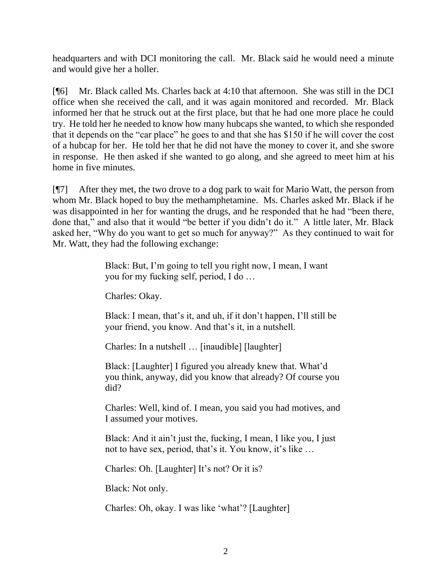headquarters and with DCI monitoring the call. Mr. Black said he would need a minute and would give her a holler.

[¶6] Mr. Black called Ms. Charles back at 4:10 that afternoon. She was still in the DCI office when she received the call, and it was again monitored and recorded. Mr. Black informed her that he struck out at the first place, but that he had one more place he could try. He told her he needed to know how many hubcaps she wanted, to which she responded that it depends on the "car place" he goes to and that she has \$150 if he will cover the cost of a hubcap for her. He told her that he did not have the money to cover it, and she swore in response. He then asked if she wanted to go along, and she agreed to meet him at his home in five minutes.

[¶7] After they met, the two drove to a dog park to wait for Mario Watt, the person from whom Mr. Black hoped to buy the methamphetamine. Ms. Charles asked Mr. Black if he was disappointed in her for wanting the drugs, and he responded that he had "been there, done that," and also that it would "be better if you didn't do it." A little later, Mr. Black asked her, "Why do you want to get so much for anyway?" As they continued to wait for Mr. Watt, they had the following exchange:

> Black: But, I'm going to tell you right now, I mean, I want you for my fucking self, period, I do …

Charles: Okay.

Black: I mean, that's it, and uh, if it don't happen, I'll still be your friend, you know. And that's it, in a nutshell.

Charles: In a nutshell … [inaudible] [laughter]

Black: [Laughter] I figured you already knew that. What'd you think, anyway, did you know that already? Of course you did?

Charles: Well, kind of. I mean, you said you had motives, and I assumed your motives.

Black: And it ain't just the, fucking, I mean, I like you, I just not to have sex, period, that's it. You know, it's like …

Charles: Oh. [Laughter] It's not? Or it is?

Black: Not only.

Charles: Oh, okay. I was like 'what'? [Laughter]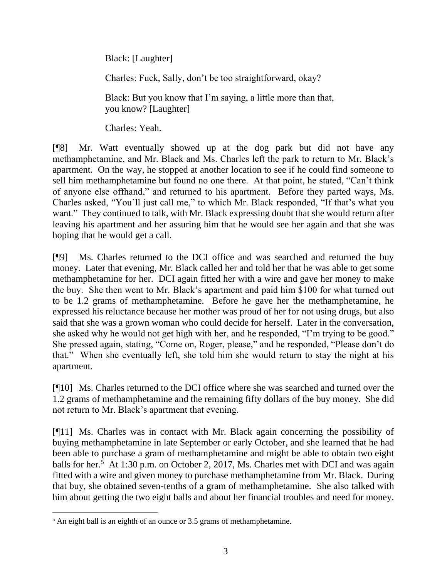Black: [Laughter]

Charles: Fuck, Sally, don't be too straightforward, okay?

Black: But you know that I'm saying, a little more than that, you know? [Laughter]

Charles: Yeah.

[¶8] Mr. Watt eventually showed up at the dog park but did not have any methamphetamine, and Mr. Black and Ms. Charles left the park to return to Mr. Black's apartment. On the way, he stopped at another location to see if he could find someone to sell him methamphetamine but found no one there. At that point, he stated, "Can't think of anyone else offhand," and returned to his apartment. Before they parted ways, Ms. Charles asked, "You'll just call me," to which Mr. Black responded, "If that's what you want." They continued to talk, with Mr. Black expressing doubt that she would return after leaving his apartment and her assuring him that he would see her again and that she was hoping that he would get a call.

[¶9] Ms. Charles returned to the DCI office and was searched and returned the buy money. Later that evening, Mr. Black called her and told her that he was able to get some methamphetamine for her. DCI again fitted her with a wire and gave her money to make the buy. She then went to Mr. Black's apartment and paid him \$100 for what turned out to be 1.2 grams of methamphetamine. Before he gave her the methamphetamine, he expressed his reluctance because her mother was proud of her for not using drugs, but also said that she was a grown woman who could decide for herself. Later in the conversation, she asked why he would not get high with her, and he responded, "I'm trying to be good." She pressed again, stating, "Come on, Roger, please," and he responded, "Please don't do that." When she eventually left, she told him she would return to stay the night at his apartment.

[¶10] Ms. Charles returned to the DCI office where she was searched and turned over the 1.2 grams of methamphetamine and the remaining fifty dollars of the buy money. She did not return to Mr. Black's apartment that evening.

[¶11] Ms. Charles was in contact with Mr. Black again concerning the possibility of buying methamphetamine in late September or early October, and she learned that he had been able to purchase a gram of methamphetamine and might be able to obtain two eight balls for her.<sup>5</sup> At 1:30 p.m. on October 2, 2017, Ms. Charles met with DCI and was again fitted with a wire and given money to purchase methamphetamine from Mr. Black. During that buy, she obtained seven-tenths of a gram of methamphetamine. She also talked with him about getting the two eight balls and about her financial troubles and need for money.

<sup>&</sup>lt;sup>5</sup> An eight ball is an eighth of an ounce or 3.5 grams of methamphetamine.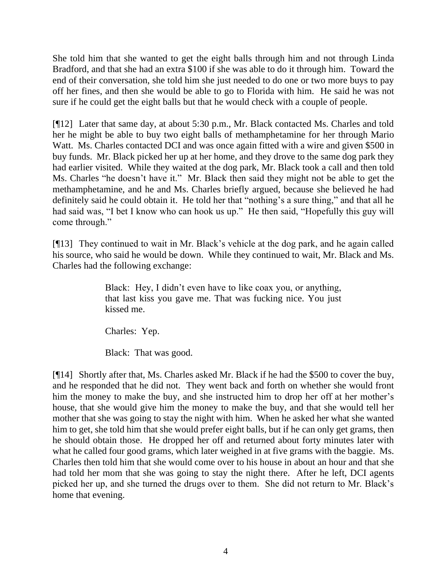She told him that she wanted to get the eight balls through him and not through Linda Bradford, and that she had an extra \$100 if she was able to do it through him. Toward the end of their conversation, she told him she just needed to do one or two more buys to pay off her fines, and then she would be able to go to Florida with him. He said he was not sure if he could get the eight balls but that he would check with a couple of people.

[¶12] Later that same day, at about 5:30 p.m., Mr. Black contacted Ms. Charles and told her he might be able to buy two eight balls of methamphetamine for her through Mario Watt. Ms. Charles contacted DCI and was once again fitted with a wire and given \$500 in buy funds. Mr. Black picked her up at her home, and they drove to the same dog park they had earlier visited. While they waited at the dog park, Mr. Black took a call and then told Ms. Charles "he doesn't have it." Mr. Black then said they might not be able to get the methamphetamine, and he and Ms. Charles briefly argued, because she believed he had definitely said he could obtain it. He told her that "nothing's a sure thing," and that all he had said was, "I bet I know who can hook us up." He then said, "Hopefully this guy will come through."

[¶13] They continued to wait in Mr. Black's vehicle at the dog park, and he again called his source, who said he would be down. While they continued to wait, Mr. Black and Ms. Charles had the following exchange:

> Black: Hey, I didn't even have to like coax you, or anything, that last kiss you gave me. That was fucking nice. You just kissed me.

Charles: Yep.

Black: That was good.

[¶14] Shortly after that, Ms. Charles asked Mr. Black if he had the \$500 to cover the buy, and he responded that he did not. They went back and forth on whether she would front him the money to make the buy, and she instructed him to drop her off at her mother's house, that she would give him the money to make the buy, and that she would tell her mother that she was going to stay the night with him. When he asked her what she wanted him to get, she told him that she would prefer eight balls, but if he can only get grams, then he should obtain those. He dropped her off and returned about forty minutes later with what he called four good grams, which later weighed in at five grams with the baggie. Ms. Charles then told him that she would come over to his house in about an hour and that she had told her mom that she was going to stay the night there. After he left, DCI agents picked her up, and she turned the drugs over to them. She did not return to Mr. Black's home that evening.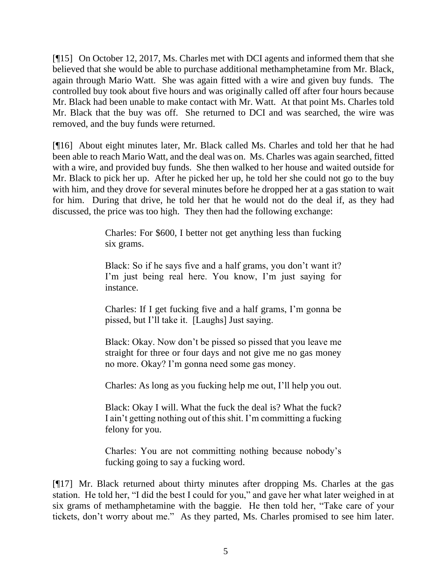[¶15] On October 12, 2017, Ms. Charles met with DCI agents and informed them that she believed that she would be able to purchase additional methamphetamine from Mr. Black, again through Mario Watt. She was again fitted with a wire and given buy funds. The controlled buy took about five hours and was originally called off after four hours because Mr. Black had been unable to make contact with Mr. Watt. At that point Ms. Charles told Mr. Black that the buy was off. She returned to DCI and was searched, the wire was removed, and the buy funds were returned.

[¶16] About eight minutes later, Mr. Black called Ms. Charles and told her that he had been able to reach Mario Watt, and the deal was on. Ms. Charles was again searched, fitted with a wire, and provided buy funds. She then walked to her house and waited outside for Mr. Black to pick her up. After he picked her up, he told her she could not go to the buy with him, and they drove for several minutes before he dropped her at a gas station to wait for him. During that drive, he told her that he would not do the deal if, as they had discussed, the price was too high. They then had the following exchange:

> Charles: For \$600, I better not get anything less than fucking six grams.

> Black: So if he says five and a half grams, you don't want it? I'm just being real here. You know, I'm just saying for instance.

> Charles: If I get fucking five and a half grams, I'm gonna be pissed, but I'll take it. [Laughs] Just saying.

> Black: Okay. Now don't be pissed so pissed that you leave me straight for three or four days and not give me no gas money no more. Okay? I'm gonna need some gas money.

> Charles: As long as you fucking help me out, I'll help you out.

Black: Okay I will. What the fuck the deal is? What the fuck? I ain't getting nothing out of this shit. I'm committing a fucking felony for you.

Charles: You are not committing nothing because nobody's fucking going to say a fucking word.

[¶17] Mr. Black returned about thirty minutes after dropping Ms. Charles at the gas station. He told her, "I did the best I could for you," and gave her what later weighed in at six grams of methamphetamine with the baggie. He then told her, "Take care of your tickets, don't worry about me." As they parted, Ms. Charles promised to see him later.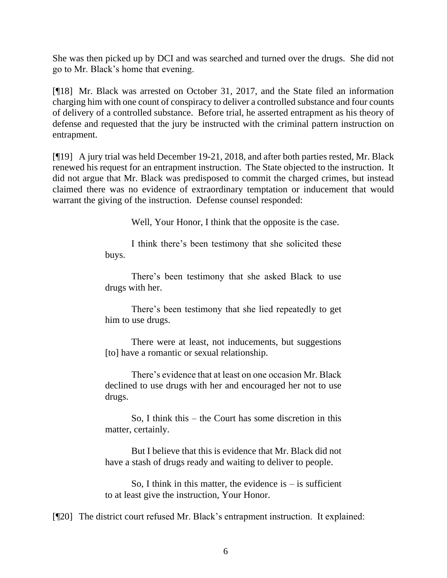She was then picked up by DCI and was searched and turned over the drugs. She did not go to Mr. Black's home that evening.

[¶18] Mr. Black was arrested on October 31, 2017, and the State filed an information charging him with one count of conspiracy to deliver a controlled substance and four counts of delivery of a controlled substance. Before trial, he asserted entrapment as his theory of defense and requested that the jury be instructed with the criminal pattern instruction on entrapment.

[¶19] A jury trial was held December 19-21, 2018, and after both parties rested, Mr. Black renewed his request for an entrapment instruction. The State objected to the instruction. It did not argue that Mr. Black was predisposed to commit the charged crimes, but instead claimed there was no evidence of extraordinary temptation or inducement that would warrant the giving of the instruction. Defense counsel responded:

Well, Your Honor, I think that the opposite is the case.

I think there's been testimony that she solicited these buys.

There's been testimony that she asked Black to use drugs with her.

There's been testimony that she lied repeatedly to get him to use drugs.

There were at least, not inducements, but suggestions [to] have a romantic or sexual relationship.

There's evidence that at least on one occasion Mr. Black declined to use drugs with her and encouraged her not to use drugs.

So, I think this – the Court has some discretion in this matter, certainly.

But I believe that this is evidence that Mr. Black did not have a stash of drugs ready and waiting to deliver to people.

So, I think in this matter, the evidence is  $-$  is sufficient to at least give the instruction, Your Honor.

[¶20] The district court refused Mr. Black's entrapment instruction. It explained: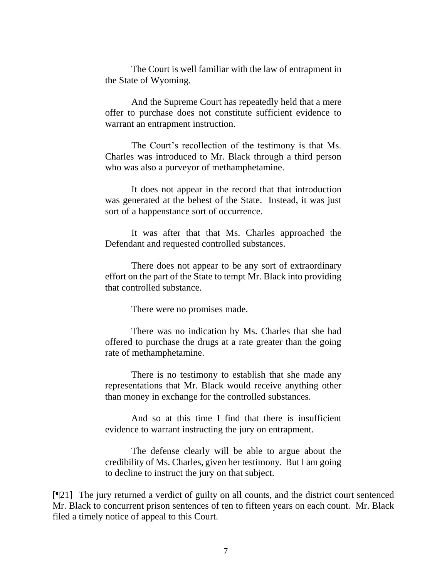The Court is well familiar with the law of entrapment in the State of Wyoming.

And the Supreme Court has repeatedly held that a mere offer to purchase does not constitute sufficient evidence to warrant an entrapment instruction.

The Court's recollection of the testimony is that Ms. Charles was introduced to Mr. Black through a third person who was also a purveyor of methamphetamine.

It does not appear in the record that that introduction was generated at the behest of the State. Instead, it was just sort of a happenstance sort of occurrence.

It was after that that Ms. Charles approached the Defendant and requested controlled substances.

There does not appear to be any sort of extraordinary effort on the part of the State to tempt Mr. Black into providing that controlled substance.

There were no promises made.

There was no indication by Ms. Charles that she had offered to purchase the drugs at a rate greater than the going rate of methamphetamine.

There is no testimony to establish that she made any representations that Mr. Black would receive anything other than money in exchange for the controlled substances.

And so at this time I find that there is insufficient evidence to warrant instructing the jury on entrapment.

The defense clearly will be able to argue about the credibility of Ms. Charles, given her testimony. But I am going to decline to instruct the jury on that subject.

[¶21] The jury returned a verdict of guilty on all counts, and the district court sentenced Mr. Black to concurrent prison sentences of ten to fifteen years on each count. Mr. Black filed a timely notice of appeal to this Court.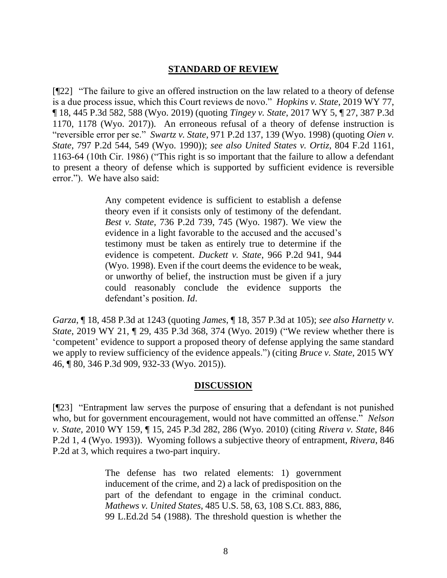## **STANDARD OF REVIEW**

[¶22] "The failure to give an offered instruction on the law related to a theory of defense is a due process issue, which this Court reviews de novo." *Hopkins v. State*, 2019 WY 77, ¶ 18, 445 P.3d 582, 588 (Wyo. 2019) (quoting *Tingey v. State*, 2017 WY 5, ¶ 27, 387 P.3d 1170, 1178 (Wyo. 2017)). An erroneous refusal of a theory of defense instruction is "reversible error per se." *Swartz v. State*, 971 P.2d 137, 139 (Wyo. 1998) (quoting *Oien v. State*, 797 P.2d 544, 549 (Wyo. 1990)); *see also United States v. Ortiz*, 804 F.2d 1161, 1163-64 (10th Cir. 1986) ("This right is so important that the failure to allow a defendant to present a theory of defense which is supported by sufficient evidence is reversible error."). We have also said:

> Any competent evidence is sufficient to establish a defense theory even if it consists only of testimony of the defendant. *Best v. State*[, 736 P.2d 739, 745 \(Wyo. 1987\).](http://www.westlaw.com/Link/Document/FullText?findType=Y&serNum=1987059333&pubNum=0000661&originatingDoc=I83b12d305e9b11ea8ca38f2a40fc1f89&refType=RP&fi=co_pp_sp_661_745&originationContext=document&vr=3.0&rs=cblt1.0&transitionType=DocumentItem&contextData=(sc.Search)#co_pp_sp_661_745) We view the evidence in a light favorable to the accused and the accused's testimony must be taken as entirely true to determine if the evidence is competent. *Duckett v. State*[, 966 P.2d 941, 944](http://www.westlaw.com/Link/Document/FullText?findType=Y&serNum=1998184646&pubNum=0000661&originatingDoc=I83b12d305e9b11ea8ca38f2a40fc1f89&refType=RP&fi=co_pp_sp_661_944&originationContext=document&vr=3.0&rs=cblt1.0&transitionType=DocumentItem&contextData=(sc.Search)#co_pp_sp_661_944)  [\(Wyo. 1998\).](http://www.westlaw.com/Link/Document/FullText?findType=Y&serNum=1998184646&pubNum=0000661&originatingDoc=I83b12d305e9b11ea8ca38f2a40fc1f89&refType=RP&fi=co_pp_sp_661_944&originationContext=document&vr=3.0&rs=cblt1.0&transitionType=DocumentItem&contextData=(sc.Search)#co_pp_sp_661_944) Even if the court deems the evidence to be weak, or unworthy of belief, the instruction must be given if a jury could reasonably conclude the evidence supports the defendant's position. *[Id](http://www.westlaw.com/Link/Document/FullText?findType=Y&serNum=1998184646&pubNum=0000661&originatingDoc=I83b12d305e9b11ea8ca38f2a40fc1f89&refType=RP&originationContext=document&vr=3.0&rs=cblt1.0&transitionType=DocumentItem&contextData=(sc.Search))*.

*Garza*, ¶ 18, 458 P.3d at 1243 (quoting *James*, ¶ 18, 357 P.3d at 105); *see also Harnetty v. State*, 2019 WY 21, ¶ 29, 435 P.3d 368, 374 (Wyo. 2019) ("We review whether there is 'competent' evidence to support a proposed theory of defense applying the same standard we apply to review sufficiency of the evidence appeals.") (citing *Bruce v. State*, 2015 WY 46, ¶ 80, 346 P.3d 909, 932-33 (Wyo. 2015)).

#### **DISCUSSION**

[¶23] "Entrapment law serves the purpose of ensuring that a defendant is not punished who, but for government encouragement, would not have committed an offense." *Nelson v. State*, 2010 WY 159, ¶ 15, 245 P.3d 282, 286 (Wyo. 2010) (citing *[Rivera v. State](http://www.westlaw.com/Link/Document/FullText?findType=Y&serNum=1993020863&pubNum=0000661&originatingDoc=I1ed2fc2a02b311e0852cd4369a8093f1&refType=RP&fi=co_pp_sp_661_4&originationContext=document&vr=3.0&rs=cblt1.0&transitionType=DocumentItem&contextData=(sc.Search)#co_pp_sp_661_4)*, 846 [P.2d 1, 4 \(Wyo. 1993\)\)](http://www.westlaw.com/Link/Document/FullText?findType=Y&serNum=1993020863&pubNum=0000661&originatingDoc=I1ed2fc2a02b311e0852cd4369a8093f1&refType=RP&fi=co_pp_sp_661_4&originationContext=document&vr=3.0&rs=cblt1.0&transitionType=DocumentItem&contextData=(sc.Search)#co_pp_sp_661_4). Wyoming follows a subjective theory of entrapment, *Rivera*, 846 P.2d at 3, which requires a two-part inquiry.

> The defense has two related elements: 1) government inducement of the crime, and 2) a lack of predisposition on the part of the defendant to engage in the criminal conduct. *Mathews v. United States*[, 485 U.S. 58, 63, 108 S.Ct. 883, 886,](http://www.westlaw.com/Link/Document/FullText?findType=Y&serNum=1988025715&pubNum=708&originatingDoc=I38088ad2f56b11d9bf60c1d57ebc853e&refType=RP&fi=co_pp_sp_708_886&originationContext=document&vr=3.0&rs=cblt1.0&transitionType=DocumentItem&contextData=(sc.Search)#co_pp_sp_708_886)  [99 L.Ed.2d 54 \(1988\).](http://www.westlaw.com/Link/Document/FullText?findType=Y&serNum=1988025715&pubNum=708&originatingDoc=I38088ad2f56b11d9bf60c1d57ebc853e&refType=RP&fi=co_pp_sp_708_886&originationContext=document&vr=3.0&rs=cblt1.0&transitionType=DocumentItem&contextData=(sc.Search)#co_pp_sp_708_886) The threshold question is whether the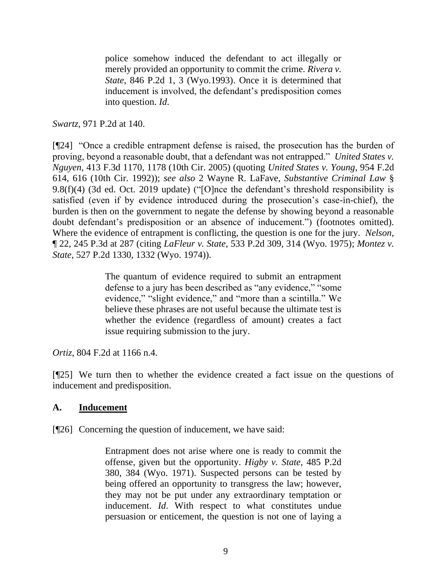police somehow induced the defendant to act illegally or merely provided an opportunity to commit the crime. *[Rivera v.](http://www.westlaw.com/Link/Document/FullText?findType=Y&serNum=1993020863&pubNum=661&originatingDoc=I38088ad2f56b11d9bf60c1d57ebc853e&refType=RP&fi=co_pp_sp_661_3&originationContext=document&vr=3.0&rs=cblt1.0&transitionType=DocumentItem&contextData=(sc.Search)#co_pp_sp_661_3)  State*[, 846 P.2d 1, 3 \(Wyo.1993\).](http://www.westlaw.com/Link/Document/FullText?findType=Y&serNum=1993020863&pubNum=661&originatingDoc=I38088ad2f56b11d9bf60c1d57ebc853e&refType=RP&fi=co_pp_sp_661_3&originationContext=document&vr=3.0&rs=cblt1.0&transitionType=DocumentItem&contextData=(sc.Search)#co_pp_sp_661_3) Once it is determined that inducement is involved, the defendant's predisposition comes into question. *Id*.

*Swartz*, 971 P.2d at 140.

[¶24] "Once a credible entrapment defense is raised, the prosecution has the burden of proving, beyond a reasonable doubt, that a defendant was not entrapped." *United States v. Nguyen*, 413 F.3d 1170, 1178 (10th Cir. 2005) (quoting *United States v. Young*, 954 F.2d 614, 616 (10th Cir. 1992)); *see also* 2 Wayne R. LaFave, *Substantive Criminal Law* § 9.8(f)(4) (3d ed. Oct. 2019 update) ("[O]nce the defendant's threshold responsibility is satisfied (even if by evidence introduced during the prosecution's case-in-chief), the burden is then on the government to negate the defense by showing beyond a reasonable doubt defendant's predisposition or an absence of inducement.") (footnotes omitted). Where the evidence of entrapment is conflicting, the question is one for the jury. *Nelson*, ¶ 22, 245 P.3d at 287 (citing *LaFleur v. State*, 533 P.2d 309, 314 (Wyo. 1975); *Montez v. State*, 527 P.2d 1330, 1332 (Wyo. 1974)).

> The quantum of evidence required to submit an entrapment defense to a jury has been described as "any evidence," "some evidence," "slight evidence," and "more than a scintilla." We believe these phrases are not useful because the ultimate test is whether the evidence (regardless of amount) creates a fact issue requiring submission to the jury.

*Ortiz*, 804 F.2d at 1166 n.4.

[¶25] We turn then to whether the evidence created a fact issue on the questions of inducement and predisposition.

## **A. Inducement**

[¶26] Concerning the question of inducement, we have said:

Entrapment does not arise where one is ready to commit the offense, given but the opportunity. *Higby v. State*, 485 P.2d 380, 384 (Wyo. 1971). Suspected persons can be tested by being offered an opportunity to transgress the law; however, they may not be put under any extraordinary temptation or inducement. *Id*. With respect to what constitutes undue persuasion or enticement, the question is not one of laying a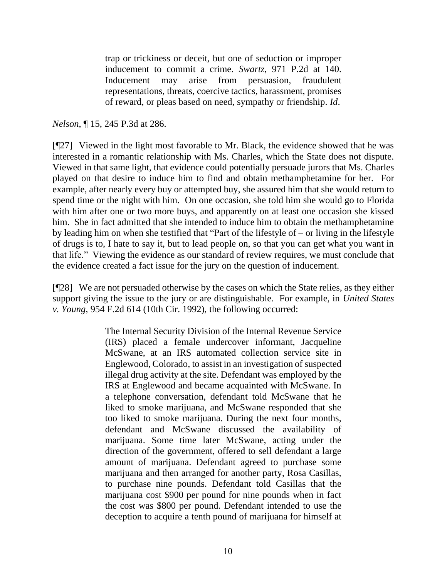trap or trickiness or deceit, but one of seduction or improper inducement to commit a crime. *Swartz*, 971 P.2d at 140. Inducement may arise from persuasion, fraudulent representations, threats, coercive tactics, harassment, promises of reward, or pleas based on need, sympathy or friendship. *Id*.

#### *Nelson*, ¶ 15, 245 P.3d at 286.

[¶27] Viewed in the light most favorable to Mr. Black, the evidence showed that he was interested in a romantic relationship with Ms. Charles, which the State does not dispute. Viewed in that same light, that evidence could potentially persuade jurors that Ms. Charles played on that desire to induce him to find and obtain methamphetamine for her. For example, after nearly every buy or attempted buy, she assured him that she would return to spend time or the night with him. On one occasion, she told him she would go to Florida with him after one or two more buys, and apparently on at least one occasion she kissed him. She in fact admitted that she intended to induce him to obtain the methamphetamine by leading him on when she testified that "Part of the lifestyle of – or living in the lifestyle of drugs is to, I hate to say it, but to lead people on, so that you can get what you want in that life." Viewing the evidence as our standard of review requires, we must conclude that the evidence created a fact issue for the jury on the question of inducement.

[¶28] We are not persuaded otherwise by the cases on which the State relies, as they either support giving the issue to the jury or are distinguishable. For example, in *United States v. Young*, 954 F.2d 614 (10th Cir. 1992), the following occurred:

> The Internal Security Division of the Internal Revenue Service (IRS) placed a female undercover informant, Jacqueline McSwane, at an IRS automated collection service site in Englewood, Colorado, to assist in an investigation of suspected illegal drug activity at the site. Defendant was employed by the IRS at Englewood and became acquainted with McSwane. In a telephone conversation, defendant told McSwane that he liked to smoke marijuana, and McSwane responded that she too liked to smoke marijuana. During the next four months, defendant and McSwane discussed the availability of marijuana. Some time later McSwane, acting under the direction of the government, offered to sell defendant a large amount of marijuana. Defendant agreed to purchase some marijuana and then arranged for another party, Rosa Casillas, to purchase nine pounds. Defendant told Casillas that the marijuana cost \$900 per pound for nine pounds when in fact the cost was \$800 per pound. Defendant intended to use the deception to acquire a tenth pound of marijuana for himself at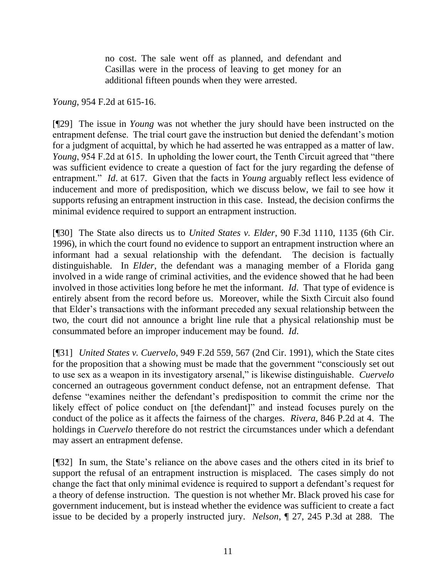no cost. The sale went off as planned, and defendant and Casillas were in the process of leaving to get money for an additional fifteen pounds when they were arrested.

*Young*, 954 F.2d at 615-16.

[¶29] The issue in *Young* was not whether the jury should have been instructed on the entrapment defense. The trial court gave the instruction but denied the defendant's motion for a judgment of acquittal, by which he had asserted he was entrapped as a matter of law. *Young*, 954 F.2d at 615. In upholding the lower court, the Tenth Circuit agreed that "there was sufficient evidence to create a question of fact for the jury regarding the defense of entrapment." *Id*. at 617. Given that the facts in *Young* arguably reflect less evidence of inducement and more of predisposition, which we discuss below, we fail to see how it supports refusing an entrapment instruction in this case. Instead, the decision confirms the minimal evidence required to support an entrapment instruction.

[¶30] The State also directs us to *United States v. Elder*, 90 F.3d 1110, 1135 (6th Cir. 1996), in which the court found no evidence to support an entrapment instruction where an informant had a sexual relationship with the defendant. The decision is factually distinguishable. In *Elder*, the defendant was a managing member of a Florida gang involved in a wide range of criminal activities, and the evidence showed that he had been involved in those activities long before he met the informant. *Id*. That type of evidence is entirely absent from the record before us. Moreover, while the Sixth Circuit also found that Elder's transactions with the informant preceded any sexual relationship between the two, the court did not announce a bright line rule that a physical relationship must be consummated before an improper inducement may be found. *Id*.

[¶31] *United States v. Cuervelo*, 949 F.2d 559, 567 (2nd Cir. 1991), which the State cites for the proposition that a showing must be made that the government "consciously set out to use sex as a weapon in its investigatory arsenal," is likewise distinguishable. *Cuervelo* concerned an outrageous government conduct defense, not an entrapment defense. That defense "examines neither the defendant's predisposition to commit the crime nor the likely effect of police conduct on [the defendant]" and instead focuses purely on the conduct of the police as it affects the fairness of the charges. *Rivera*, 846 P.2d at 4. The holdings in *Cuervelo* therefore do not restrict the circumstances under which a defendant may assert an entrapment defense.

[¶32] In sum, the State's reliance on the above cases and the others cited in its brief to support the refusal of an entrapment instruction is misplaced. The cases simply do not change the fact that only minimal evidence is required to support a defendant's request for a theory of defense instruction. The question is not whether Mr. Black proved his case for government inducement, but is instead whether the evidence was sufficient to create a fact issue to be decided by a properly instructed jury. *Nelson*, ¶ 27, 245 P.3d at 288. The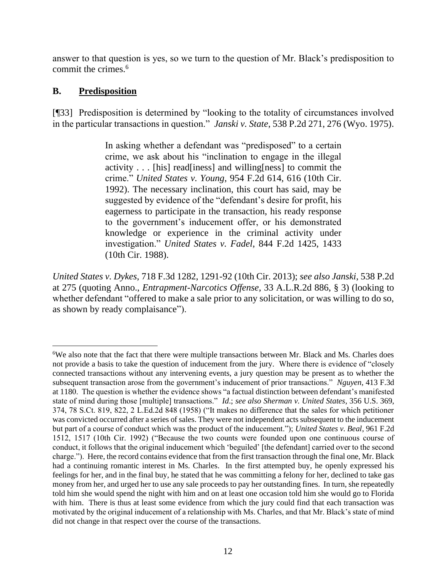answer to that question is yes, so we turn to the question of Mr. Black's predisposition to commit the crimes.<sup>6</sup>

# **B. Predisposition**

[¶33] Predisposition is determined by "looking to the totality of circumstances involved in the particular transactions in question." *Janski v. State*, 538 P.2d 271, 276 (Wyo. 1975).

> In asking whether a defendant was "predisposed" to a certain crime, we ask about his "inclination to engage in the illegal activity . . . [his] read[iness] and willing[ness] to commit the crime." *United States v. Young*, 954 F.2d 614, 616 (10th Cir. 1992). The necessary inclination, this court has said, may be suggested by evidence of the "defendant's desire for profit, his eagerness to participate in the transaction, his ready response to the government's inducement offer, or his demonstrated knowledge or experience in the criminal activity under investigation." *United States v. Fadel*, 844 F.2d 1425, 1433 (10th Cir. 1988).

*United States v. Dykes*, 718 F.3d 1282, 1291-92 (10th Cir. 2013); *see also Janski*, 538 P.2d at 275 (quoting Anno., *Entrapment-Narcotics Offense*, 33 A.L.R.2d 886, § 3) (looking to whether defendant "offered to make a sale prior to any solicitation, or was willing to do so, as shown by ready complaisance").

<sup>6</sup>We also note that the fact that there were multiple transactions between Mr. Black and Ms. Charles does not provide a basis to take the question of inducement from the jury. Where there is evidence of "closely connected transactions without any intervening events, a jury question may be present as to whether the subsequent transaction arose from the government's inducement of prior transactions." *Nguyen*, 413 F.3d at 1180. The question is whether the evidence shows "a factual distinction between defendant's manifested state of mind during those [multiple] transactions." *Id*.; *see also Sherman v. United States*, 356 U.S. 369, 374, 78 S.Ct. 819, 822, 2 L.Ed.2d 848 (1958) ("It makes no difference that the sales for which petitioner was convicted occurred after a series of sales. They were not independent acts subsequent to the inducement but part of a course of conduct which was the product of the inducement."); *United States v. Beal*, 961 F.2d 1512, 1517 (10th Cir. 1992) ("Because the two counts were founded upon one continuous course of conduct, it follows that the original inducement which 'beguiled' [the defendant] carried over to the second charge."). Here, the record contains evidence that from the first transaction through the final one, Mr. Black had a continuing romantic interest in Ms. Charles. In the first attempted buy, he openly expressed his feelings for her, and in the final buy, he stated that he was committing a felony for her, declined to take gas money from her, and urged her to use any sale proceeds to pay her outstanding fines. In turn, she repeatedly told him she would spend the night with him and on at least one occasion told him she would go to Florida with him. There is thus at least some evidence from which the jury could find that each transaction was motivated by the original inducement of a relationship with Ms. Charles, and that Mr. Black's state of mind did not change in that respect over the course of the transactions.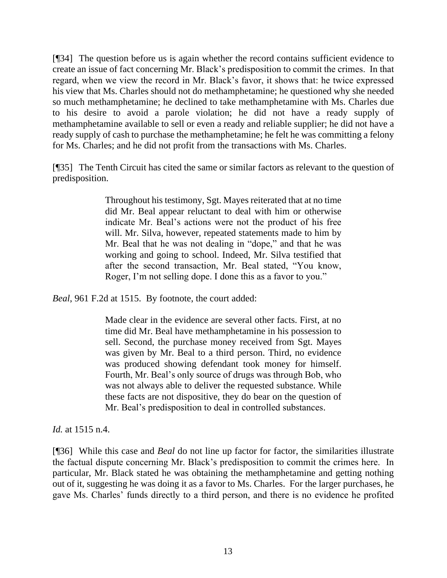[¶34] The question before us is again whether the record contains sufficient evidence to create an issue of fact concerning Mr. Black's predisposition to commit the crimes. In that regard, when we view the record in Mr. Black's favor, it shows that: he twice expressed his view that Ms. Charles should not do methamphetamine; he questioned why she needed so much methamphetamine; he declined to take methamphetamine with Ms. Charles due to his desire to avoid a parole violation; he did not have a ready supply of methamphetamine available to sell or even a ready and reliable supplier; he did not have a ready supply of cash to purchase the methamphetamine; he felt he was committing a felony for Ms. Charles; and he did not profit from the transactions with Ms. Charles.

[¶35] The Tenth Circuit has cited the same or similar factors as relevant to the question of predisposition.

> Throughout his testimony, Sgt. Mayes reiterated that at no time did Mr. Beal appear reluctant to deal with him or otherwise indicate Mr. Beal's actions were not the product of his free will. Mr. Silva, however, repeated statements made to him by Mr. Beal that he was not dealing in "dope," and that he was working and going to school. Indeed, Mr. Silva testified that after the second transaction, Mr. Beal stated, "You know, Roger, I'm not selling dope. I done this as a favor to you."

*Beal*, 961 F.2d at 1515. By footnote, the court added:

Made clear in the evidence are several other facts. First, at no time did Mr. Beal have methamphetamine in his possession to sell. Second, the purchase money received from Sgt. Mayes was given by Mr. Beal to a third person. Third, no evidence was produced showing defendant took money for himself. Fourth, Mr. Beal's only source of drugs was through Bob, who was not always able to deliver the requested substance. While these facts are not dispositive, they do bear on the question of Mr. Beal's predisposition to deal in controlled substances.

*Id.* at 1515 n.4.

[¶36] While this case and *Beal* do not line up factor for factor, the similarities illustrate the factual dispute concerning Mr. Black's predisposition to commit the crimes here. In particular, Mr. Black stated he was obtaining the methamphetamine and getting nothing out of it, suggesting he was doing it as a favor to Ms. Charles. For the larger purchases, he gave Ms. Charles' funds directly to a third person, and there is no evidence he profited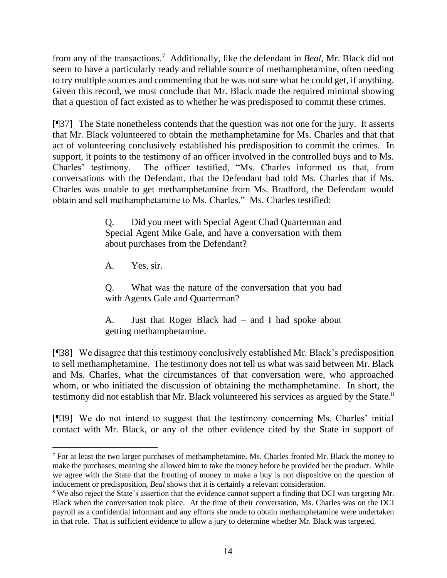from any of the transactions.<sup>7</sup> Additionally, like the defendant in *Beal*, Mr. Black did not seem to have a particularly ready and reliable source of methamphetamine, often needing to try multiple sources and commenting that he was not sure what he could get, if anything. Given this record, we must conclude that Mr. Black made the required minimal showing that a question of fact existed as to whether he was predisposed to commit these crimes.

[¶37] The State nonetheless contends that the question was not one for the jury. It asserts that Mr. Black volunteered to obtain the methamphetamine for Ms. Charles and that that act of volunteering conclusively established his predisposition to commit the crimes. In support, it points to the testimony of an officer involved in the controlled buys and to Ms. Charles' testimony. The officer testified, "Ms. Charles informed us that, from conversations with the Defendant, that the Defendant had told Ms. Charles that if Ms. Charles was unable to get methamphetamine from Ms. Bradford, the Defendant would obtain and sell methamphetamine to Ms. Charles." Ms. Charles testified:

> Q. Did you meet with Special Agent Chad Quarterman and Special Agent Mike Gale, and have a conversation with them about purchases from the Defendant?

A. Yes, sir.

Q. What was the nature of the conversation that you had with Agents Gale and Quarterman?

A. Just that Roger Black had – and I had spoke about getting methamphetamine.

[¶38] We disagree that this testimony conclusively established Mr. Black's predisposition to sell methamphetamine. The testimony does not tell us what was said between Mr. Black and Ms. Charles, what the circumstances of that conversation were, who approached whom, or who initiated the discussion of obtaining the methamphetamine. In short, the testimony did not establish that Mr. Black volunteered his services as argued by the State.<sup>8</sup>

[¶39] We do not intend to suggest that the testimony concerning Ms. Charles' initial contact with Mr. Black, or any of the other evidence cited by the State in support of

<sup>7</sup> For at least the two larger purchases of methamphetamine, Ms. Charles fronted Mr. Black the money to make the purchases, meaning she allowed him to take the money before he provided her the product. While we agree with the State that the fronting of money to make a buy is not dispositive on the question of inducement or predisposition, *Beal* shows that it is certainly a relevant consideration.

<sup>&</sup>lt;sup>8</sup> We also reject the State's assertion that the evidence cannot support a finding that DCI was targeting Mr. Black when the conversation took place. At the time of their conversation, Ms. Charles was on the DCI payroll as a confidential informant and any efforts she made to obtain methamphetamine were undertaken in that role. That is sufficient evidence to allow a jury to determine whether Mr. Black was targeted.